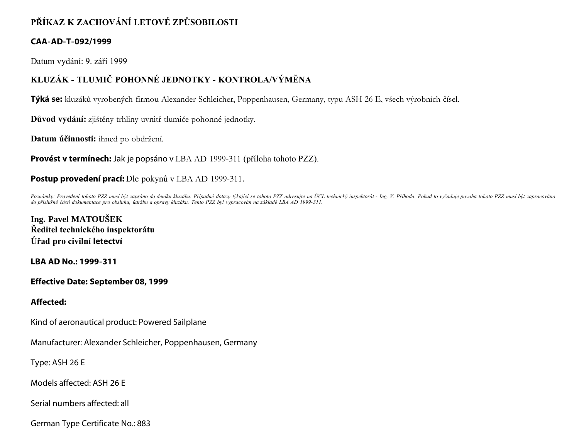## **PŘÍKAZ K ZACHOVÁNÍ LETOVÉ ZPŮSOBILOSTI**

### **CAA-AD-T-092/1999**

Datum vydání: 9. září 1999

# **KLUZÁK - TLUMIČ POHONNÉ JEDNOTKY - KONTROLA/VÝMĚNA**

**Týká se:** kluzáků vyrobených firmou Alexander Schleicher, Poppenhausen, Germany, typu ASH 26 E, všech výrobních čísel.

**Důvod vydání:** zjištěny trhliny uvnitř tlumiče pohonné jednotky.

**Datum účinnosti:** ihned po obdržení.

**Provést v termínech:** Jak je popsáno v LBA AD 1999-311 (příloha tohoto PZZ).

### **Postup provedení prací:** Dle pokynů v LBA AD 1999-311.

Poznámky: Provedení tohoto PZZ musí být zapsáno do deníku kluzáku. Případné dotazy týkající se tohoto PZZ adresujte na ÚCL technický inspektorát - Ing. V. Příhoda. Pokud to vyžaduje povaha tohoto PZZ musí být zapracováno *do příslušné části dokumentace pro obsluhu, údržbu a opravy kluzáku. Tento PZZ byl vypracován na základě LBA AD 1999-311.*

**Ing. Pavel MATOUŠEK Ředitel technického inspektorátu Úřad pro civilní letectví**

**LBA AD No.: 1999-311**

**Effective Date: September 08, 1999**

#### **Affected:**

Kind of aeronautical product: Powered Sailplane

Manufacturer: Alexander Schleicher, Poppenhausen, Germany

Type: ASH 26 E

Models affected: ASH 26 E

Serial numbers affected: all

German Type Certificate No.: 883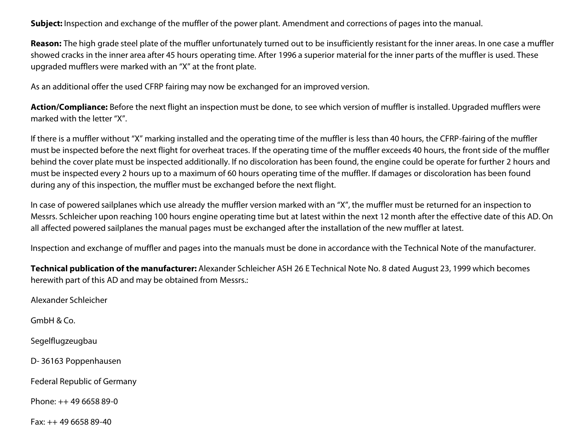**Subject:** Inspection and exchange of the muffler of the power plant. Amendment and corrections of pages into the manual.

Reason: The high grade steel plate of the muffler unfortunately turned out to be insufficiently resistant for the inner areas. In one case a muffler showed cracks in the inner area after 45 hours operating time. After 1996 a superior material for the inner parts of the muffler is used. These upgraded mufflers were marked with an "X" at the front plate.

As an additional offer the used CFRP fairing may now be exchanged for an improved version.

**Action/Compliance:** Before the next flight an inspection must be done, to see which version of muffler is installed. Upgraded mufflers were marked with the letter "X".

If there is a muffler without "X" marking installed and the operating time of the muffler is less than 40 hours, the CFRP-fairing of the muffler must be inspected before the next flight for overheat traces. If the operating time of the muffler exceeds 40 hours, the front side of the muffler behind the cover plate must be inspected additionally. If no discoloration has been found, the engine could be operate for further 2 hours and must be inspected every 2 hours up to a maximum of 60 hours operating time of the muffler. If damages or discoloration has been found during any of this inspection, the muffler must be exchanged before the next flight.

In case of powered sailplanes which use already the muffler version marked with an "X", the muffler must be returned for an inspection to Messrs. Schleicher upon reaching 100 hours engine operating time but at latest within the next 12 month after the effective date of this AD. On all affected powered sailplanes the manual pages must be exchanged after the installation of the new muffler at latest.

Inspection and exchange of muffler and pages into the manuals must be done in accordance with the Technical Note of the manufacturer.

**Technical publication of the manufacturer:** Alexander Schleicher ASH 26 E Technical Note No. 8 dated August 23, 1999 which becomes herewith part of this AD and may be obtained from Messrs.:

Alexander Schleicher

GmbH & Co.

Segelflugzeugbau

D- 36163 Poppenhausen

Federal Republic of Germany

Phone: ++ 49 6658 89-0

Fax: ++ 49 6658 89-40